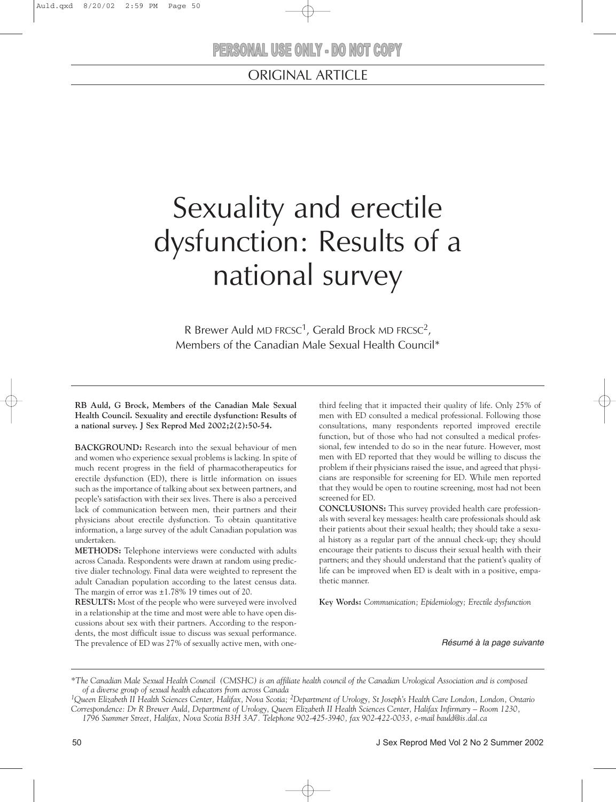# Sexuality and erectile dysfunction: Results of a national survey

R Brewer Auld MD FRCSC<sup>1</sup>, Gerald Brock MD FRCSC<sup>2</sup>, Members of the Canadian Male Sexual Health Council\*

**RB Auld, G Brock, Members of the Canadian Male Sexual Health Council. Sexuality and erectile dysfunction: Results of a national survey. J Sex Reprod Med 2002;2(2):50-54.**

**BACKGROUND:** Research into the sexual behaviour of men and women who experience sexual problems is lacking. In spite of much recent progress in the field of pharmacotherapeutics for erectile dysfunction (ED), there is little information on issues such as the importance of talking about sex between partners, and people's satisfaction with their sex lives. There is also a perceived lack of communication between men, their partners and their physicians about erectile dysfunction. To obtain quantitative information, a large survey of the adult Canadian population was undertaken.

**METHODS:** Telephone interviews were conducted with adults across Canada. Respondents were drawn at random using predictive dialer technology. Final data were weighted to represent the adult Canadian population according to the latest census data. The margin of error was ±1.78% 19 times out of 20.

**RESULTS:** Most of the people who were surveyed were involved in a relationship at the time and most were able to have open discussions about sex with their partners. According to the respondents, the most difficult issue to discuss was sexual performance. The prevalence of ED was 27% of sexually active men, with onethird feeling that it impacted their quality of life. Only 25% of men with ED consulted a medical professional. Following those consultations, many respondents reported improved erectile function, but of those who had not consulted a medical professional, few intended to do so in the near future. However, most men with ED reported that they would be willing to discuss the problem if their physicians raised the issue, and agreed that physicians are responsible for screening for ED. While men reported that they would be open to routine screening, most had not been screened for ED.

**CONCLUSIONS:** This survey provided health care professionals with several key messages: health care professionals should ask their patients about their sexual health; they should take a sexual history as a regular part of the annual check-up; they should encourage their patients to discuss their sexual health with their partners; and they should understand that the patient's quality of life can be improved when ED is dealt with in a positive, empathetic manner.

**Key Words:** *Communication; Epidemiology; Erectile dysfunction* 

#### *Résumé à la page suivante*

*\*The Canadian Male Sexual Health Council (CMSHC) is an affiliate health council of the Canadian Urological Association and is composed of a diverse group of sexual health educators from across Canada*

*<sup>1</sup>Queen Elizabeth II Health Sciences Center, Halifax, Nova Scotia; 2Department of Urology, St Joseph's Health Care London, London, Ontario Correspondence: Dr R Brewer Auld, Department of Urology, Queen Elizabeth II Health Sciences Center, Halifax Infirmary – Room 1230, 1796 Summer Street, Halifax, Nova Scotia B3H 3A7. Telephone 902-425-3940, fax 902-422-0033, e-mail bauld@is.dal.ca*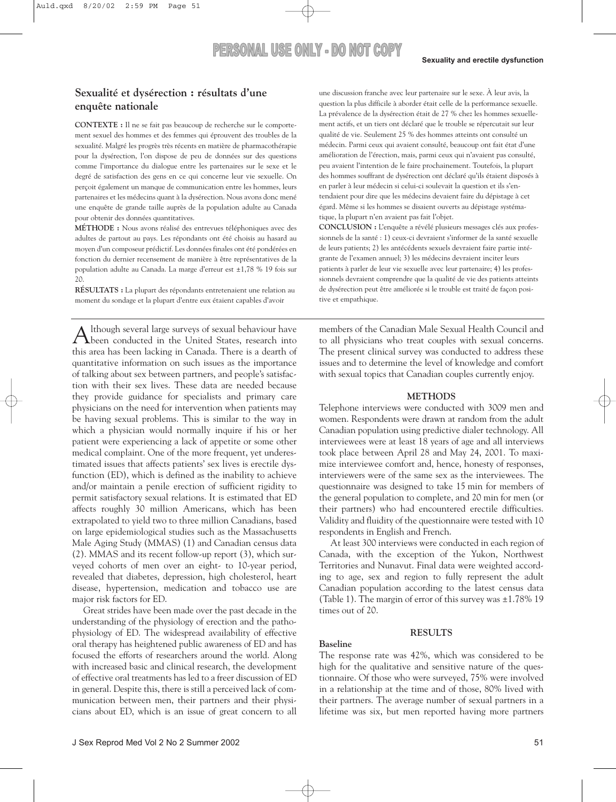### **Sexualité et dysérection : résultats d'une enquête nationale**

**CONTEXTE :** Il ne se fait pas beaucoup de recherche sur le comportement sexuel des hommes et des femmes qui éprouvent des troubles de la sexualité. Malgré les progrès très récents en matière de pharmacothérapie pour la dysérection, l'on dispose de peu de données sur des questions comme l'importance du dialogue entre les partenaires sur le sexe et le degré de satisfaction des gens en ce qui concerne leur vie sexuelle. On perçoit également un manque de communication entre les hommes, leurs partenaires et les médecins quant à la dysérection. Nous avons donc mené une enquête de grande taille auprès de la population adulte au Canada pour obtenir des données quantitatives.

**MÉTHODE :** Nous avons réalisé des entrevues téléphoniques avec des adultes de partout au pays. Les répondants ont été choisis au hasard au moyen d'un composeur prédictif. Les données finales ont été pondérées en fonction du dernier recensement de manière à être représentatives de la population adulte au Canada. La marge d'erreur est ±1,78 % 19 fois sur 20.

**RÉSULTATS :** La plupart des répondants entretenaient une relation au moment du sondage et la plupart d'entre eux étaient capables d'avoir

Although several large surveys of sexual behaviour have been conducted in the United States, research into this area has been lacking in Canada. There is a dearth of quantitative information on such issues as the importance of talking about sex between partners, and people's satisfaction with their sex lives. These data are needed because they provide guidance for specialists and primary care physicians on the need for intervention when patients may be having sexual problems. This is similar to the way in which a physician would normally inquire if his or her patient were experiencing a lack of appetite or some other medical complaint. One of the more frequent, yet underestimated issues that affects patients' sex lives is erectile dysfunction (ED), which is defined as the inability to achieve and/or maintain a penile erection of sufficient rigidity to permit satisfactory sexual relations. It is estimated that ED affects roughly 30 million Americans, which has been extrapolated to yield two to three million Canadians, based on large epidemiological studies such as the Massachusetts Male Aging Study (MMAS) (1) and Canadian census data (2). MMAS and its recent follow-up report (3), which surveyed cohorts of men over an eight- to 10-year period, revealed that diabetes, depression, high cholesterol, heart disease, hypertension, medication and tobacco use are major risk factors for ED.

Great strides have been made over the past decade in the understanding of the physiology of erection and the pathophysiology of ED. The widespread availability of effective oral therapy has heightened public awareness of ED and has focused the efforts of researchers around the world. Along with increased basic and clinical research, the development of effective oral treatments has led to a freer discussion of ED in general. Despite this, there is still a perceived lack of communication between men, their partners and their physicians about ED, which is an issue of great concern to all une discussion franche avec leur partenaire sur le sexe. À leur avis, la question la plus difficile à aborder était celle de la performance sexuelle. La prévalence de la dysérection était de 27 % chez les hommes sexuellement actifs, et un tiers ont déclaré que le trouble se répercutait sur leur qualité de vie. Seulement 25 % des hommes atteints ont consulté un médecin. Parmi ceux qui avaient consulté, beaucoup ont fait état d'une amélioration de l'érection, mais, parmi ceux qui n'avaient pas consulté, peu avaient l'intention de le faire prochainement. Toutefois, la plupart des hommes souffrant de dysérection ont déclaré qu'ils étaient disposés à en parler à leur médecin si celui-ci soulevait la question et ils s'entendaient pour dire que les médecins devaient faire du dépistage à cet égard. Même si les hommes se disaient ouverts au dépistage systématique, la plupart n'en avaient pas fait l'objet.

**CONCLUSION :** L'enquête a révélé plusieurs messages clés aux professionnels de la santé : 1) ceux-ci devraient s'informer de la santé sexuelle de leurs patients; 2) les antécédents sexuels devraient faire partie intégrante de l'examen annuel; 3) les médecins devraient inciter leurs patients à parler de leur vie sexuelle avec leur partenaire; 4) les professionnels devraient comprendre que la qualité de vie des patients atteints de dysérection peut être améliorée si le trouble est traité de façon positive et empathique.

members of the Canadian Male Sexual Health Council and to all physicians who treat couples with sexual concerns. The present clinical survey was conducted to address these issues and to determine the level of knowledge and comfort with sexual topics that Canadian couples currently enjoy.

#### **METHODS**

Telephone interviews were conducted with 3009 men and women. Respondents were drawn at random from the adult Canadian population using predictive dialer technology. All interviewees were at least 18 years of age and all interviews took place between April 28 and May 24, 2001. To maximize interviewee comfort and, hence, honesty of responses, interviewers were of the same sex as the interviewees. The questionnaire was designed to take 15 min for members of the general population to complete, and 20 min for men (or their partners) who had encountered erectile difficulties. Validity and fluidity of the questionnaire were tested with 10 respondents in English and French.

At least 300 interviews were conducted in each region of Canada, with the exception of the Yukon, Northwest Territories and Nunavut. Final data were weighted according to age, sex and region to fully represent the adult Canadian population according to the latest census data (Table 1). The margin of error of this survey was  $\pm 1.78\%$  19 times out of 20.

#### **RESULTS**

#### **Baseline**

The response rate was 42%, which was considered to be high for the qualitative and sensitive nature of the questionnaire. Of those who were surveyed, 75% were involved in a relationship at the time and of those, 80% lived with their partners. The average number of sexual partners in a lifetime was six, but men reported having more partners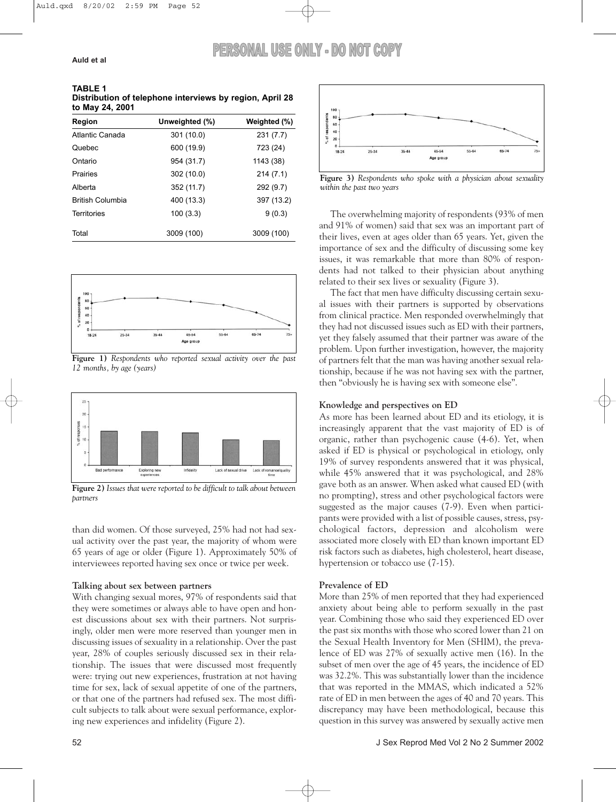**TABLE 1 Distribution of telephone interviews by region, April 28 to May 24, 2001**

| Region                  | Unweighted (%) | Weighted (%) |
|-------------------------|----------------|--------------|
| Atlantic Canada         | 301 (10.0)     | 231(7.7)     |
| Quebec                  | 600 (19.9)     | 723 (24)     |
| Ontario                 | 954 (31.7)     | 1143 (38)    |
| Prairies                | 302 (10.0)     | 214(7.1)     |
| Alberta                 | 352 (11.7)     | 292 (9.7)    |
| <b>British Columbia</b> | 400 (13.3)     | 397 (13.2)   |
| Territories             | 100(3.3)       | 9(0.3)       |
| Total                   | 3009 (100)     | 3009 (100)   |



**Figure 1)** *Respondents who reported sexual activity over the past 12 months, by age (years)*



**Figure 2)** *Issues that were reported to be difficult to talk about between partners*

than did women. Of those surveyed, 25% had not had sexual activity over the past year, the majority of whom were 65 years of age or older (Figure 1). Approximately 50% of interviewees reported having sex once or twice per week.

#### **Talking about sex between partners**

With changing sexual mores, 97% of respondents said that they were sometimes or always able to have open and honest discussions about sex with their partners. Not surprisingly, older men were more reserved than younger men in discussing issues of sexuality in a relationship. Over the past year, 28% of couples seriously discussed sex in their relationship. The issues that were discussed most frequently were: trying out new experiences, frustration at not having time for sex, lack of sexual appetite of one of the partners, or that one of the partners had refused sex. The most difficult subjects to talk about were sexual performance, exploring new experiences and infidelity (Figure 2).



**Figure 3)** *Respondents who spoke with a physician about sexuality within the past two years*

The overwhelming majority of respondents (93% of men and 91% of women) said that sex was an important part of their lives, even at ages older than 65 years. Yet, given the importance of sex and the difficulty of discussing some key issues, it was remarkable that more than 80% of respondents had not talked to their physician about anything related to their sex lives or sexuality (Figure 3).

The fact that men have difficulty discussing certain sexual issues with their partners is supported by observations from clinical practice. Men responded overwhelmingly that they had not discussed issues such as ED with their partners, yet they falsely assumed that their partner was aware of the problem. Upon further investigation, however, the majority of partners felt that the man was having another sexual relationship, because if he was not having sex with the partner, then "obviously he is having sex with someone else".

#### **Knowledge and perspectives on ED**

As more has been learned about ED and its etiology, it is increasingly apparent that the vast majority of ED is of organic, rather than psychogenic cause (4-6). Yet, when asked if ED is physical or psychological in etiology, only 19% of survey respondents answered that it was physical, while 45% answered that it was psychological, and 28% gave both as an answer. When asked what caused ED (with no prompting), stress and other psychological factors were suggested as the major causes (7-9). Even when participants were provided with a list of possible causes, stress, psychological factors, depression and alcoholism were associated more closely with ED than known important ED risk factors such as diabetes, high cholesterol, heart disease, hypertension or tobacco use (7-15).

#### **Prevalence of ED**

More than 25% of men reported that they had experienced anxiety about being able to perform sexually in the past year. Combining those who said they experienced ED over the past six months with those who scored lower than 21 on the Sexual Health Inventory for Men (SHIM), the prevalence of ED was 27% of sexually active men (16). In the subset of men over the age of 45 years, the incidence of ED was 32.2%. This was substantially lower than the incidence that was reported in the MMAS, which indicated a 52% rate of ED in men between the ages of 40 and 70 years. This discrepancy may have been methodological, because this question in this survey was answered by sexually active men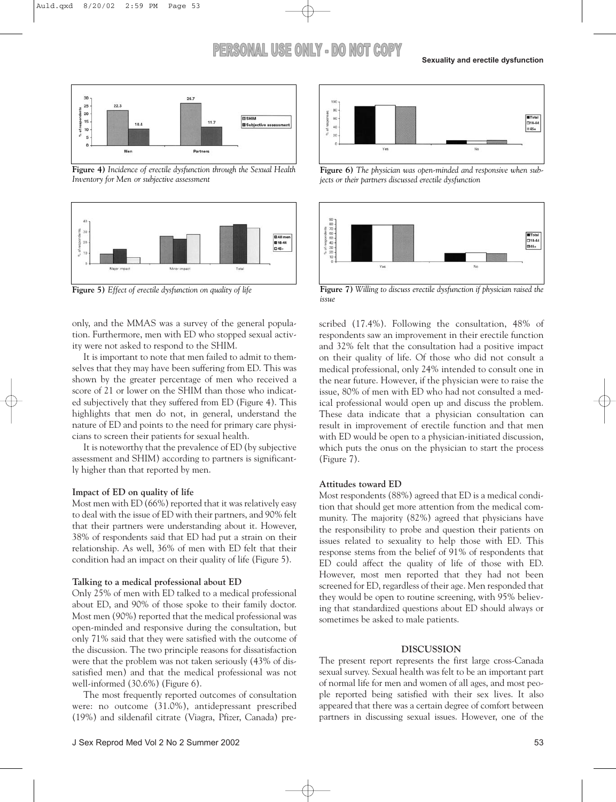

**Figure 4)** *Incidence of erectile dysfunction through the Sexual Health Inventory for Men or subjective assessment*



**Figure 5)** *Effect of erectile dysfunction on quality of life*

only, and the MMAS was a survey of the general population. Furthermore, men with ED who stopped sexual activity were not asked to respond to the SHIM.

It is important to note that men failed to admit to themselves that they may have been suffering from ED. This was shown by the greater percentage of men who received a score of 21 or lower on the SHIM than those who indicated subjectively that they suffered from ED (Figure 4). This highlights that men do not, in general, understand the nature of ED and points to the need for primary care physicians to screen their patients for sexual health.

It is noteworthy that the prevalence of ED (by subjective assessment and SHIM) according to partners is significantly higher than that reported by men.

#### **Impact of ED on quality of life**

Most men with ED (66%) reported that it was relatively easy to deal with the issue of ED with their partners, and 90% felt that their partners were understanding about it. However, 38% of respondents said that ED had put a strain on their relationship. As well, 36% of men with ED felt that their condition had an impact on their quality of life (Figure 5).

#### **Talking to a medical professional about ED**

Only 25% of men with ED talked to a medical professional about ED, and 90% of those spoke to their family doctor. Most men (90%) reported that the medical professional was open-minded and responsive during the consultation, but only 71% said that they were satisfied with the outcome of the discussion. The two principle reasons for dissatisfaction were that the problem was not taken seriously (43% of dissatisfied men) and that the medical professional was not well-informed (30.6%) (Figure 6).

The most frequently reported outcomes of consultation were: no outcome (31.0%), antidepressant prescribed (19%) and sildenafil citrate (Viagra, Pfizer, Canada) pre-



**Figure 6)** *The physician was open-minded and responsive when subjects or their partners discussed erectile dysfunction*



**Figure 7)** *Willing to discuss erectile dysfunction if physician raised the issue*

scribed (17.4%). Following the consultation, 48% of respondents saw an improvement in their erectile function and 32% felt that the consultation had a positive impact on their quality of life. Of those who did not consult a medical professional, only 24% intended to consult one in the near future. However, if the physician were to raise the issue, 80% of men with ED who had not consulted a medical professional would open up and discuss the problem. These data indicate that a physician consultation can result in improvement of erectile function and that men with ED would be open to a physician-initiated discussion, which puts the onus on the physician to start the process (Figure 7).

#### **Attitudes toward ED**

Most respondents (88%) agreed that ED is a medical condition that should get more attention from the medical community. The majority (82%) agreed that physicians have the responsibility to probe and question their patients on issues related to sexuality to help those with ED. This response stems from the belief of 91% of respondents that ED could affect the quality of life of those with ED. However, most men reported that they had not been screened for ED, regardless of their age. Men responded that they would be open to routine screening, with 95% believing that standardized questions about ED should always or sometimes be asked to male patients.

#### **DISCUSSION**

The present report represents the first large cross-Canada sexual survey. Sexual health was felt to be an important part of normal life for men and women of all ages, and most people reported being satisfied with their sex lives. It also appeared that there was a certain degree of comfort between partners in discussing sexual issues. However, one of the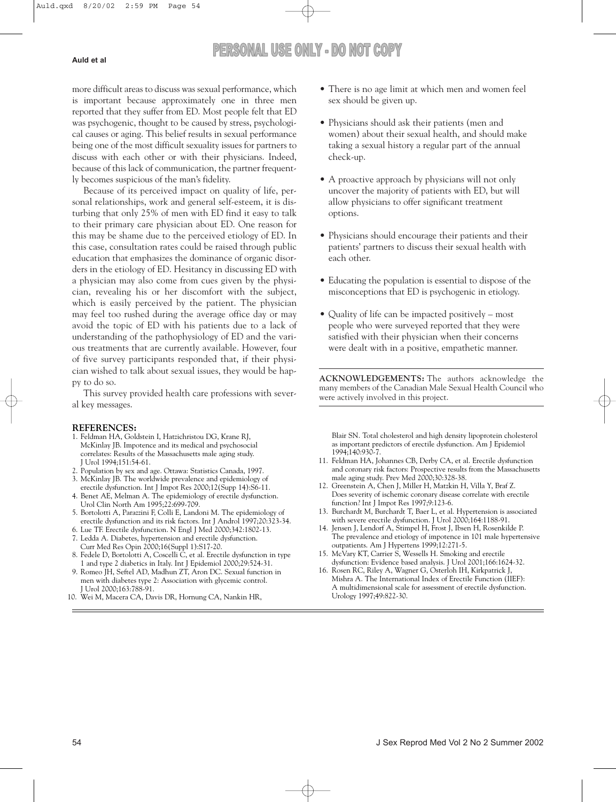more difficult areas to discuss was sexual performance, which is important because approximately one in three men reported that they suffer from ED. Most people felt that ED was psychogenic, thought to be caused by stress, psychological causes or aging. This belief results in sexual performance being one of the most difficult sexuality issues for partners to discuss with each other or with their physicians. Indeed, because of this lack of communication, the partner frequently becomes suspicious of the man's fidelity.

Because of its perceived impact on quality of life, personal relationships, work and general self-esteem, it is disturbing that only 25% of men with ED find it easy to talk to their primary care physician about ED. One reason for this may be shame due to the perceived etiology of ED. In this case, consultation rates could be raised through public education that emphasizes the dominance of organic disorders in the etiology of ED. Hesitancy in discussing ED with a physician may also come from cues given by the physician, revealing his or her discomfort with the subject, which is easily perceived by the patient. The physician may feel too rushed during the average office day or may avoid the topic of ED with his patients due to a lack of understanding of the pathophysiology of ED and the various treatments that are currently available. However, four of five survey participants responded that, if their physician wished to talk about sexual issues, they would be happy to do so.

This survey provided health care professions with several key messages.

#### **REFERENCES:**

- 1. Feldman HA, Goldstein I, Hatzichristou DG, Krane RJ, McKinlay JB. Impotence and its medical and psychosocial correlates: Results of the Massachusetts male aging study. J Urol 1994;151:54-61.
- 2. Population by sex and age. Ottawa: Statistics Canada, 1997.
- 3. McKinlay JB. The worldwide prevalence and epidemiology of erectile dysfunction. Int J Impot Res 2000;12(Supp 14):S6-11.
- 4. Benet AE, Melman A. The epidemiology of erectile dysfunction. Urol Clin North Am 1995;22:699-709.
- 5. Bortolotti A, Parazzini F, Colli E, Landoni M. The epidemiology of erectile dysfunction and its risk factors. Int J Androl 1997;20:323-34.
- 6. Lue TF. Erectile dysfunction. N Engl J Med 2000;342:1802-13. 7. Ledda A. Diabetes, hypertension and erectile dysfunction.
- Curr Med Res Opin 2000;16(Suppl 1):S17-20. 8. Fedele D, Bortolotti A, Coscelli C, et al. Erectile dysfunction in type
- 1 and type 2 diabetics in Italy. Int J Epidemiol 2000;29:524-31.
- 9. Romeo JH, Seftel AD, Madhun ZT, Aron DC. Sexual function in men with diabetes type 2: Association with glycemic control. J Urol 2000;163:788-91.
- 10. Wei M, Macera CA, Davis DR, Hornung CA, Nankin HR,
- There is no age limit at which men and women feel sex should be given up.
- Physicians should ask their patients (men and women) about their sexual health, and should make taking a sexual history a regular part of the annual check-up.
- A proactive approach by physicians will not only uncover the majority of patients with ED, but will allow physicians to offer significant treatment options.
- Physicians should encourage their patients and their patients' partners to discuss their sexual health with each other.
- Educating the population is essential to dispose of the misconceptions that ED is psychogenic in etiology.
- Quality of life can be impacted positively most people who were surveyed reported that they were satisfied with their physician when their concerns were dealt with in a positive, empathetic manner.

**ACKNOWLEDGEMENTS:** The authors acknowledge the many members of the Canadian Male Sexual Health Council who were actively involved in this project.

Blair SN. Total cholesterol and high density lipoprotein cholesterol as important predictors of erectile dysfunction. Am J Epidemiol 1994;140:930-7.

- 11. Feldman HA, Johannes CB, Derby CA, et al. Erectile dysfunction and coronary risk factors: Prospective results from the Massachusetts male aging study. Prev Med 2000;30:328-38.
- 12. Greenstein A, Chen J, Miller H, Matzkin H, Villa Y, Braf Z. Does severity of ischemic coronary disease correlate with erectile function? Int J Impot Res 1997;9:123-6.
- 13. Burchardt M, Burchardt T, Baer L, et al. Hypertension is associated with severe erectile dysfunction. J Urol 2000:164:1188-91.
- 14. Jensen J, Lendorf A, Stimpel H, Frost J, Ibsen H, Rosenkilde P. The prevalence and etiology of impotence in 101 male hypertensive outpatients. Am J Hypertens 1999;12:271-5.
- 15. McVary KT, Carrier S, Wessells H. Smoking and erectile dysfunction: Evidence based analysis. J Urol 2001;166:1624-32.
- 16. Rosen RC, Riley A, Wagner G, Osterloh IH, Kirkpatrick J, Mishra A. The International Index of Erectile Function (IIEF): A multidimensional scale for assessment of erectile dysfunction. Urology 1997;49:822-30.